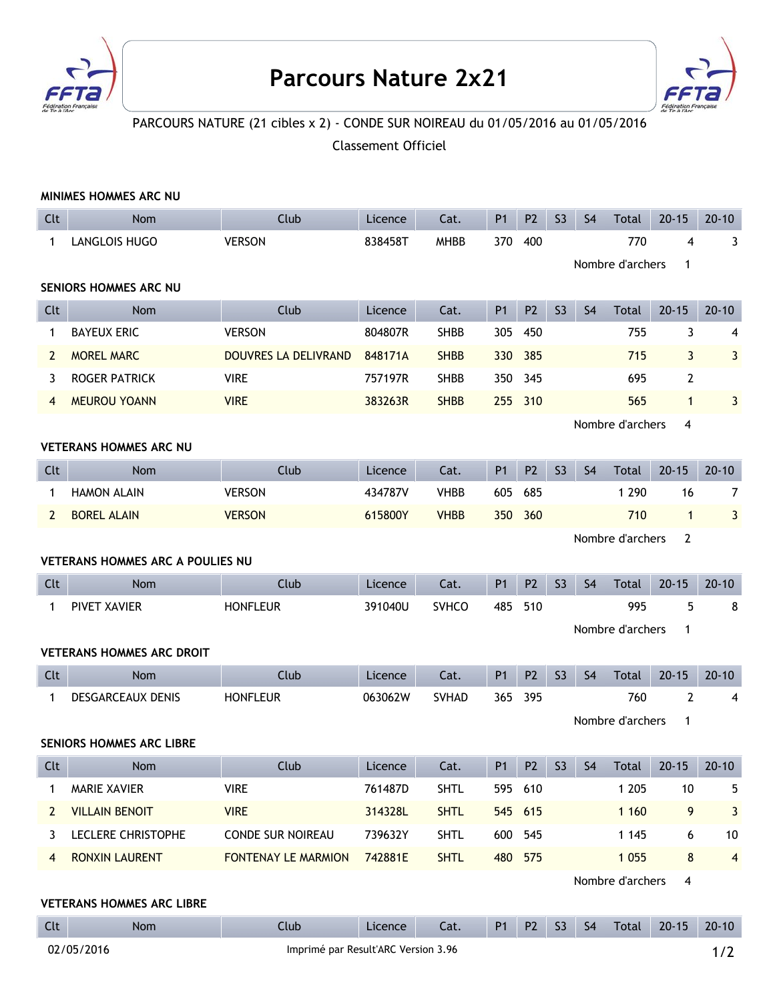

## **Parcours Nature 2x21**



## PARCOURS NATURE (21 cibles x 2) - CONDE SUR NOIREAU du 01/05/2016 au 01/05/2016

Classement Officiel

|                                         | MINIMES HOMMES ARC NU            |                            |         |              |                |                |                |                |                  |                |                |  |
|-----------------------------------------|----------------------------------|----------------------------|---------|--------------|----------------|----------------|----------------|----------------|------------------|----------------|----------------|--|
| Clt                                     | <b>Nom</b>                       | Club                       | Licence | Cat.         | <b>P1</b>      | P <sub>2</sub> | S <sub>3</sub> | S <sub>4</sub> | Total            | $20 - 15$      | $20 - 10$      |  |
| 1                                       | LANGLOIS HUGO                    | <b>VERSON</b>              | 838458T | <b>MHBB</b>  | 370            | 400            |                |                | 770              | 4              | 3              |  |
|                                         |                                  |                            |         |              |                |                |                |                | Nombre d'archers | $\mathbf{1}$   |                |  |
| SENIORS HOMMES ARC NU                   |                                  |                            |         |              |                |                |                |                |                  |                |                |  |
| Clt                                     | <b>Nom</b>                       | Club                       | Licence | Cat.         | <b>P1</b>      | P <sub>2</sub> | S <sub>3</sub> | S <sub>4</sub> | <b>Total</b>     | $20 - 15$      | $20 - 10$      |  |
| $\mathbf 1$                             | <b>BAYEUX ERIC</b>               | <b>VERSON</b>              | 804807R | <b>SHBB</b>  | 305            | 450            |                |                | 755              | 3              | 4              |  |
| $\mathbf{2}$                            | <b>MOREL MARC</b>                | DOUVRES LA DELIVRAND       | 848171A | <b>SHBB</b>  | 330            | 385            |                |                | 715              | $\mathbf{3}$   | 3              |  |
| 3                                       | <b>ROGER PATRICK</b>             | <b>VIRE</b>                | 757197R | <b>SHBB</b>  | 350            | 345            |                |                | 695              | $\overline{2}$ |                |  |
| 4                                       | <b>MEUROU YOANN</b>              | <b>VIRE</b>                | 383263R | <b>SHBB</b>  | 255            | 310            |                |                | 565              | $\mathbf{1}$   | 3              |  |
|                                         | Nombre d'archers<br>4            |                            |         |              |                |                |                |                |                  |                |                |  |
| <b>VETERANS HOMMES ARC NU</b>           |                                  |                            |         |              |                |                |                |                |                  |                |                |  |
| Clt                                     | <b>Nom</b>                       | Club                       | Licence | Cat.         | <b>P1</b>      | P <sub>2</sub> | S <sub>3</sub> | S <sub>4</sub> | Total            | $20 - 15$      | $20 - 10$      |  |
| 1                                       | <b>HAMON ALAIN</b>               | <b>VERSON</b>              | 434787V | <b>VHBB</b>  | 605            | 685            |                |                | 1 2 9 0          | 16             | $\overline{7}$ |  |
| $\mathbf{2}$                            | <b>BOREL ALAIN</b>               | <b>VERSON</b>              | 615800Y | <b>VHBB</b>  | 350            | 360            |                |                | 710              | $\mathbf{1}$   | 3              |  |
|                                         |                                  |                            |         |              |                |                |                |                | Nombre d'archers | $\overline{2}$ |                |  |
| <b>VETERANS HOMMES ARC A POULIES NU</b> |                                  |                            |         |              |                |                |                |                |                  |                |                |  |
|                                         |                                  |                            |         |              |                |                |                |                |                  |                |                |  |
| Clt                                     | <b>Nom</b>                       | Club                       | Licence | Cat.         | <b>P1</b>      | P <sub>2</sub> | S <sub>3</sub> | S <sub>4</sub> | Total            | $20 - 15$      | $20 - 10$      |  |
| $\mathbf{1}$                            | PIVET XAVIER                     | <b>HONFLEUR</b>            | 391040U | <b>SVHCO</b> | 485            | 510            |                |                | 995              | 5              | 8              |  |
|                                         |                                  |                            |         |              |                |                |                |                | Nombre d'archers | $\mathbf{1}$   |                |  |
|                                         | <b>VETERANS HOMMES ARC DROIT</b> |                            |         |              |                |                |                |                |                  |                |                |  |
| Clt                                     | <b>Nom</b>                       | Club                       | Licence | Cat.         | <b>P1</b>      | P <sub>2</sub> | S <sub>3</sub> | S <sub>4</sub> | Total            | $20 - 15$      | $20 - 10$      |  |
| $\mathbf{1}$                            | <b>DESGARCEAUX DENIS</b>         | <b>HONFLEUR</b>            | 063062W | <b>SVHAD</b> | 365            | 395            |                |                | 760              | $\overline{2}$ | 4              |  |
|                                         |                                  |                            |         |              |                |                |                |                | Nombre d'archers | $\mathbf{1}$   |                |  |
|                                         | <b>SENIORS HOMMES ARC LIBRE</b>  |                            |         |              |                |                |                |                |                  |                |                |  |
| Clt                                     | <b>Nom</b>                       | Club                       | Licence | Cat.         | P1             | P <sub>2</sub> | S <sub>3</sub> | S <sub>4</sub> | Total            | $20 - 15$      | $20 - 10$      |  |
| 1                                       | MARIE XAVIER                     | <b>VIRE</b>                | 761487D | <b>SHTL</b>  |                | 595 610        |                |                | 1 2 0 5          | 10             | 5              |  |
| $\mathbf{2}$                            | <b>VILLAIN BENOIT</b>            | <b>VIRE</b>                | 314328L | <b>SHTL</b>  |                | 545 615        |                |                | 1 1 6 0          | 9              | 3              |  |
| 3                                       | LECLERE CHRISTOPHE               | CONDE SUR NOIREAU          | 739632Y | <b>SHTL</b>  | 600            | 545            |                |                | 1 1 4 5          | 6              | 10             |  |
| 4                                       | <b>RONXIN LAURENT</b>            | <b>FONTENAY LE MARMION</b> | 742881E | <b>SHTL</b>  | 480            | 575            |                |                | 1 0 5 5          | $\bf 8$        | $\overline{4}$ |  |
|                                         |                                  |                            |         |              |                |                |                |                | Nombre d'archers | 4              |                |  |
|                                         | <b>VETERANS HOMMES ARC LIBRE</b> |                            |         |              |                |                |                |                |                  |                |                |  |
| Clt                                     | Nom                              | Club                       | Licence | Cat.         | P <sub>1</sub> | P <sub>2</sub> | S <sub>3</sub> | S <sub>4</sub> | Total            | $20 - 15$      | $20 - 10$      |  |